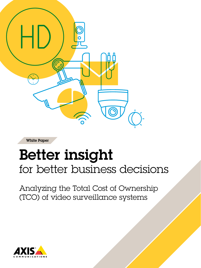

White Paper

# Better insight for better business decisions

Analyzing the Total Cost of Ownership (TCO) of video surveillance systems

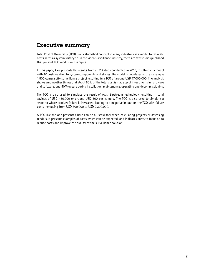# Executive summary

Total Cost of Ownership (TCO) is an established concept in many industries as a model to estimate costs across a system's lifecycle. In the video surveillance industry, there are few studies published that present TCO models or examples.

In this paper, Axis presents the results from a TCO study conducted in 2015, resulting in a model with 40 costs relating to system components and stages. The model is populated with an example 1,500 camera city surveillance project resulting in a TCO of around USD 17,000,000. The analysis shows among other things that about 50% of the total cost is made up of investments in hardware and software, and 50% occurs during installation, maintenance, operating and decommissioning.

The TCO is also used to simulate the result of Axis' Zipstream technology, resulting in total savings of USD 450,000 or around USD 300 per camera. The TCO is also used to simulate a scenario where product failure is increased, leading to a negative impact on the TCO with failure costs increasing from USD 800,000 to USD 2,300,000.

A TCO like the one presented here can be a useful tool when calculating projects or assessing tenders. It presents examples of costs which can be expected, and indicates areas to focus on to reduce costs and improve the quality of the surveillance solution.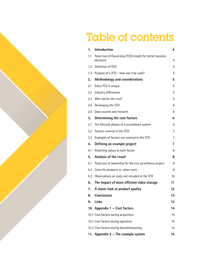# Table of contents

| 1.      | <b>Introduction</b>                                                    | 4  |  |
|---------|------------------------------------------------------------------------|----|--|
| 1.1     | Total Cost of Ownership (TCO) insight for better business<br>decisions | 4  |  |
| $1.2\,$ | Definition of TCO                                                      | 4  |  |
| 1.3     | Purpose of a TCO - how can it be used?                                 | 5  |  |
| 2.      | <b>Methodology and considerations</b>                                  | 5  |  |
| 2.1     | Every TCO is unique                                                    | 5  |  |
| 2.2     | Industry differences                                                   | 5  |  |
| 2.3     | Who carries the cost?                                                  | 5  |  |
| 2.4     | Developing the TCO                                                     | 6  |  |
| $2.5\,$ | Data sources and research                                              | 6  |  |
| 3.      | Determining the cost factors                                           | 6  |  |
| 3.1     | The lifecycle phases of a surveillance system                          | 6  |  |
| 3.2     | Factors covered in this TCO                                            | 7  |  |
| 3.3     | Examples of factors not covered in this TCO                            | 7  |  |
| 4.      | Defining an example project                                            | 7  |  |
| 4.1     | Attaching values to each factor                                        | 8  |  |
| 5.      | Analysis of the result                                                 | 8  |  |
| 5.1     | Total cost of ownership for the city surveillance project              | 8  |  |
| 5.2     | Costs for products vs. other costs                                     | 8  |  |
| 5.3     | Observations on costs not included in the TCO                          | 10 |  |
| 6.      | The impact of more efficient video storage                             | 11 |  |
| 7.      | A closer look at product quality                                       | 12 |  |
| 8.      | <b>Conclusions</b>                                                     | 13 |  |
| 9.      | Links                                                                  | 13 |  |
|         | 10. Appendix 1 - Cost factors                                          | 14 |  |
|         | 10.1 Cost factors during acquisition                                   | 14 |  |
|         | 10.2 Cost factors during operation                                     | 14 |  |
|         | 10.3 Cost factors during decommissioning<br>14                         |    |  |
|         | 11. Appendix 2 - The example system                                    | 15 |  |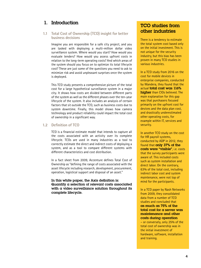# 1. Introduction

#### **1.1 Total Cost of Ownership (TCO) insight for better business decisions**

Imagine you are responsible for a safe city project, and you are tasked with deploying a multi-million dollar video surveillance system. Where would you start? How would you evaluate tenders? How would you assess upfront costs in relation to the long-term operating costs? And which areas of the system should you focus on to optimize its total lifecycle cost? These are just some of the questions you need to ask to minimize risk and avoid unpleasant surprises once the system is deployed.

This TCO study presents a comprehensive picture of the total cost for a large hypothetical surveillance system in a major city. It shows how costs are divided between different parts of the system as well as the different phases over the ten-year lifecycle of the system. It also includes an analysis of certain factors that sit outside the TCO, such as business costs due to system downtime. Finally, this model shows how camera technology and product reliability could impact the total cost of ownership in a significant way.

#### **1.2 Definition of TCO**

TCO is a financial estimate model that intends to capture all the costs associated with an activity over its complete lifecycle. TCOs are used in many industries as a tool to correctly estimate the direct and indirect costs of deploying a system, and as a tool to compare different systems with different characteristics and cost distribution.

In a fact sheet from 2009, Accenture defines Total Cost of Ownership as "defining the range of costs associated with the asset lifecycle including research, development, procurement, operation, logistical support and disposal of an asset."

In this white paper, the Axis definition is: Quantify a selection of relevant costs associated with a video surveillance solution throughout its complete lifecycle.

## TCO studies from other industries

There is a tendency to estimate the total system cost based only on the initial investment. This is not unique for the security industry, but this bias has been proven in many TCO studies in various industries.

In a TCO study from 2016 on the cost for mobile devices in enterprise companies, conducted by Wandera, they found that the actual total cost was 116% higher than CIOs believed. The main explanation for this gap was that purchasers focused primarily on the upfront cost for devices and the data plan cost, and drastically underestimated other operating costs, for example within IT, services and security.

In another TCO study on the cost for HR payroll systems, conducted by ADP in 2012, they found that only 37% of the costs were "visible", i.e. costs that the survey participants were aware of. This included costs such as system installation and direct labor. On the contrary, 63% of the total cost, including indirect labor cost and system maintenance, were not top of mind for the participants.

In a TCO paper by Nash Networks from 2009, they consolidated data from a number of TCO studies and concluded that as much as 75% of the total cost for a server was maintenance and other costs during operation

– or conversely, only 25% of the total cost of ownership was in the initial investment of hardware, software, installation and training.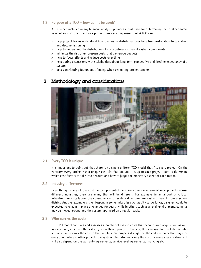#### **1.3 Purpose of a TCO – how can it be used?**

A TCO when included in any financial analysis, provides a cost basis for determining the total economic value of an investment and as a product/process comparison tool. A TCO can:

- > help project teams understand how the cost is distributed over time from installation to operation and decommissioning
- > help to understand the distribution of costs between different system components
- > minimize the risk of unforeseen costs that can erode budgets
- > help to focus efforts and reduce costs over time
- > help during discussions with stakeholders about long-term perspective and lifetime expectancy of a system
- > be a contributing factor, out of many, when evaluating project tenders



# 2. Methodology and considerations

#### **2.1 Every TCO is unique**

It is important to point out that there is no single uniform TCO model that fits every project. On the contrary, every project has a unique cost distribution, and it is up to each project team to determine which cost factors to take into account and how to judge the monetary aspect of each factor.

#### **2.2 Industry differences**

Even though many of the cost factors presented here are common in surveillance projects across different industries, there are many that will be different. For example, in an airport or critical infrastructure installation, the consequences of system downtime are vastly different from a school district. Another example is the lifespan: in some industries such as city surveillance, a system could be expected to remain in place unchanged for years, while in others such as a retail environment, cameras may be moved around and the system upgraded on a regular basis.

#### **2.3 Who carries the cost?**

This TCO model captures and assesses a number of system costs that occur during acquisition, as well as over time, in a hypothetical city surveillance project. However, this analysis does not define who actually has to carry the cost in the end. In some projects it might be the end customer that pays for everything, while in other projects the system integrator will carry the cost for some areas. Naturally it will also depend on the warranty agreements, service level agreements, financing etc.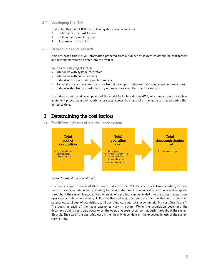#### **2.4 Developing the TCO**

To develop this model TCO, the following steps have been taken:

- 1. Determining the cost factors
- 2. Defining an example system
- 3. Analysis of the results

#### **2.5 Data sources and research**

Axis has based this TCO on information gathered from a number of sources to determine cost factors and reasonable values to enter into the system.

Sources for this project include:

- > Interviews with system integrators
- > Interviews with end customers
- > Data at Axis from existing similar projects
- > Knowledge, experience and statistics from Axis support, sales and field engineering organizations
- > Data available from security industry organizations and other security sources

The data gathering and development of the model took place during 2015, which means factors such as equipment prices, labor and maintenance costs represent a snapshot of the market situation during that period of time.

## 3. Determining the cost factors

**3.1 The lifecycle phases of a surveillance system**



*Figure 1. Costs during the lifecycle*

To create a simple overview of all the costs that affect the TCO of a video surveillance solution, the cost factors have been categorized according to the activities and chronological order in which they appear throughout the system lifecycle. The ownership of a product can be divided into the phases: acquisition, operation and decommissioning. Following these phases, the costs are then divided into three main categories: total cost of acquisition, total operating cost and total decommissioning cost. See Figure 1. The costs in each of the main categories vary in nature. While the acquisition costs and the decommissioning costs only occur once, the operating costs occur continuously throughout the system lifecycle. The size of the operating cost is then heavily dependent on the expected length of the system service time.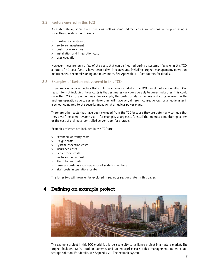#### **3.2 Factors covered in this TCO**

As stated above, some direct costs as well as some indirect costs are obvious when purchasing a surveillance system. For example:

- > Hardware investment
- > Software investment
- > Costs for warranties
- > Installation and integration cost
- > User education

However, these are only a few of the costs that can be incurred during a systems lifecycle. In this TCO, a total of 40 cost factors have been taken into account, including project management, operation, maintenance, decommissioning and much more. See Appendix 1 – Cost factors for details.

#### **3.3 Examples of factors not covered in this TCO**

There are a number of factors that could have been included in the TCO model, but were omitted. One reason for not including these costs is that estimates vary considerably between industries. This could skew the TCO in the wrong way. For example, the costs for alarm failures and costs incurred in the business operation due to system downtime, will have very different consequences for a headmaster in a school compared to the security manager at a nuclear power plant.

There are other costs that have been excluded from the TCO because they are potentially so huge that they dwarf the overall system cost – for example, salary costs for staff that operate a monitoring center, or the cost of a climate-controlled server room for storage.

Examples of costs not included in this TCO are:

- > Extended warranty costs
- > Freight costs
- > System inspection costs
- > Insurance costs
- > Server room costs
- > Software failure costs
- > Alarm failure costs
- > Business costs as a consequence of system downtime
- > Staff costs in operations center

The latter two will however be explored in separate sections later in this paper.

# 4. Defining an example project



The example project in this TCO model is a large-scale city surveillance project in a mature market. The project includes 1,500 outdoor cameras and an enterprise-class video management, network and storage solution. For details, see Appendix 2 – The example system.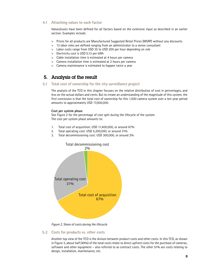#### **4.1 Attaching values to each factor**

Values/costs have been defined for all factors based on the extensive input as described in an earlier section. Examples include:

- > Prices for all products are Manufactured Suggested Retail Prices (MSRP) without any discounts
- > 13 labor roles are defined ranging from an administrator to a senior consultant
- > Labor costs range from USD 35 to USD 200 per hour depending on role
- > Electricity cost is USD 0.13 per kWh
- > Cable installation time is estimated at 4 hours per camera
- > Camera installation time is estimated at 2 hours per camera
- > Camera maintenance is estimated to happen twice a year

# 5. Analysis of the result

**5.1 Total cost of ownership for the city surveillance project**

The analysis of the TCO in this chapter focuses on the relative distribution of cost in percentages, and less on the actual dollars and cents. But to create an understanding of the magnitude of this system, the first conclusion is that the total cost of ownership for this 1,500 camera system over a ten-year period amounts to approximately USD 17,000,000.

#### **Cost per system phase**

See Figure 2 for the percentage of cost split during the lifecycle of the system. The cost per system phase amounts to:

- 1. Total cost of acquisition: USD 11,400,000, or around 67%
- 2. Total operating cost: USD 5,200,000, or around 31%
- 3. Total decommissioning cost: USD 300,000, or around 2%



*Figure 2. Share of costs during the lifecycle* 

**5.2 Costs for products vs. other costs**

Another top view of the TCO is the divison between product costs and other costs. In this TCO, as shown in Figure 3, about half (49%) of the total costs relate to direct upfront costs for the purchase of cameras, software and other equipment – also referred to as contract costs. The other 51% are costs relating to design, installation, maintenance, etc.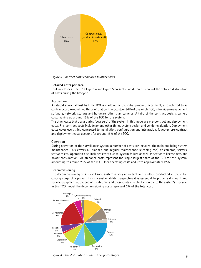

*Figure 3. Contract costs compared to other costs* 

#### **Detailed costs per area**

Looking closer at the TCO, Figure 4 and Figure 5 presents two different views of the detailed distribution of costs during the lifecycle.

#### **Acquisition**

As stated above, almost half the TCO is made up by the initial product investment, also referred to as contract cost. Around two thirds of that contract cost, or 34% of the whole TCO, is for video management software, network, storage and hardware other than cameras. A third of the contract costs is camera cost, making up around 16% of the TCO for the system.

The other costs that occur during 'year zero' of the system in this model are pre-contract and deployment costs. Pre-contract costs include among other things system design and vendor evaluation. Deployment costs cover everything connected to installation, configuration and integration. Together, pre-contract and deployment costs account for around 18% of the TCO.

#### **Operation**

During operation of the surveillance system, a number of costs are incurred, the main one being system maintenance. This covers all planned and regular maintenance (cleaning etc.) of cameras, servers, software etc. Operation also includes costs due to system failure as well as software license fees and power consumption. Maintenance costs represent the single largest share of the TCO for this system, amounting to around 20% of the TCO. Oher operating costs add ut to approximately 12%.

#### **Decommissioning**

The decommissioning of a surveillance system is very important and is often overlooked in the initial costing stage of a project. From a sustainability perspective it is essential to properly dismount and recycle equipment at the end of its lifetime, and these costs must be factored into the system's lifecycle. In this TCO model, the decommissioning costs represent 2% of the total cost.



*Figure 4. Cost distribution of the TCO in percentages.*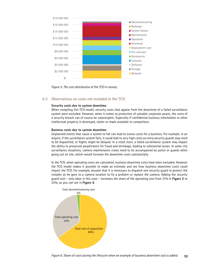

*Figure 5. The cost distribution of the TCO in money.*

#### **5.3 Observations on costs not included in the TCO**

#### **Security costs due to system downtime**

When compiling this TCO model, security costs that appear from the downtime of a failed surveillance system were excluded. However, when it comes to protection of valuable corporate assets, the costs of a security breach can of course be catastrophic. Especially if confidential business information or other intellectual property is destroyed, stolen or made available to competitors.

#### **Business costs due to system downtime**

Unplanned events that cause a system to fail can lead to excess costs for a business. For example, in an airport, if the surveillance system fails, it could lead to very high costs as extra security guards may need to be dispatched, or flights might be delayed. In a retail store, a failed surveillance system may impact the ability to prosecute perpetrators for fraud and shrinkage, leading to substantial losses. In some city surveillance situations, camera maintenance crews need to be accompanied by police or guards when going out on site, which would increase the downtime costs substantially.

In the TCO, when operating costs are calculated, business downtime costs have been excluded. However the TCO model makes it possible to make an estimate and see how business downtime costs could impact the TCO. For example, assume that it is necessary to dispatch one security guard to protect the installer as he goes to a camera location to fix a problem or replace the camera. Adding the security guard cost – only labor in this case – increases the share of the operating cost from 31% in **Figure 2** to 33%, as you can see in **Figure 6**.



**10** *Figure 6. Share of costs during the lifecycle when an example of business downtime cost is added.*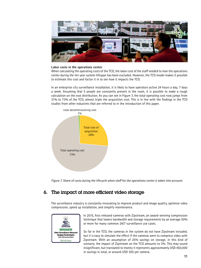

#### **Labor costs in the operations center**

When calculating the operating costs of the TCO, the labor cost of the staff needed to man the operations center during the ten year system lifespan has been excluded. However, the TCO model makes it possible to estimate this cost and factor it in to see how it impacts the TCO.

In an enterprise city surveillance installation, it is likely to have operators active 24 hours a day, 7 days a week. Assuming that 5 people are constantly present in the room, it is possible to make a rough calculation on the cost distribution. As you can see in Figure 7, the total operating cost now jumps from 31% to 73% of the TCO, almost triple the acquisition cost. This is in line with the findings in the TCO studies from other industries that are referred to in the introduction of this paper.



*Figure 7. Share of costs during the lifecycle when staff for the operations center is taken into account.*

## 6. The impact of more efficient video storage

The surveillance industry is constantly innovating to improve product and image quality, optimize video compression, speed up installation, and simplify maintenance.



In 2015, Axis released cameras with Zipstream, an award-winning compression technique that lowers bandwidth and storage requirements by an average 50% or more for many common 24/7 surveillance use cases.

So far in the TCO, the cameras in the system do not have Zipstream included, but it is easy to simulate the effect if the cameras were to compress video with Zipstream. With an assumption of 25% savings on storage, in this kind of scenario, the impact of Zipstream on the TCO amounts to 3%. This may sound insignificant, but translated to money it represents approximately USD 450,000 in savings in total, or around USD 300 per camera.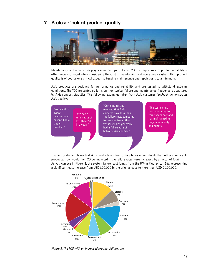### 7. A closer look at product quality



Maintenance and repair costs play a significant part of any TCO. The importance of product reliability is often underestimated when considering the cost of maintaining and operating a system. High product quality is of course one critical aspect to keeping maintenance and repair costs to a minimum.

Axis products are designed for performance and reliability and are tested to withstand extreme conditions. The TCO presented so far is built on typical failure and maintenance frequence, as captured by Axis support statistics. The following examples taken from Axis customer feedback demonstrates Axis quality:



The last customer claims that Axis products are four to five times more reliable than other comparable products. How would the TCO be impacted if the failure rates were increased by a factor of four? As you can see in Figure 8, the system failure cost jumps from the 5% in Figure4 to 13%, representing a significant cost increase from USD 800,000 in the original case to more than USD 2,300,000.



*Figure 8. The TCO with an increased product failure rate.*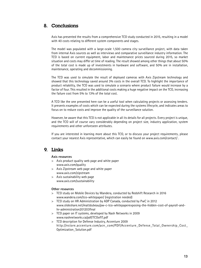# 8. Conclusions

Axis has presented the results from a comprehensive TCO study conducted in 2015, resulting in a model with 40 costs relating to different system components and stages.

The model was populated with a large-scale 1,500 camera city surveillance project, with data taken from internal Axis sources as well as interviews and comparative surveillance industry information. The TCO is based on current equipment, labor and maintenance prices sourced during 2015, so market situation and costs may differ at time of reading. The result showed among other things that about 50% of the total cost is made up of investments in hardware and software, and 50% are in installation, maintenance, operating and decommissioning.

The TCO was used to simulate the result of deployed cameras with Axis Zipstream technology and showed that this technology saved around 3% costs in the overall TCO. To highlight the importance of product reliability, the TCO was used to simulate a scenario where product failure would increase by a factor of four. This resulted in the additional costs making a huge negative impact on the TCO, increasing the failure cost from 5% to 13% of the total cost.

A TCO like the one presented here can be a useful tool when calculating projects or assessing tenders. It presents examples of costs which can be expected during the systems lifecycle, and indicates areas to focus on to reduce costs and improve the quality of the surveillance solution.

However, be aware that this TCO is not applicable in all its details for all projects. Every project is unique, and the TCO will of course vary considerably depending on project size, industry application, system requirements and other unforeseen attributes.

If you are interested in learning more about this TCO, or to discuss your project requirements, please contact your nearest Axis representative, which can easily be found on www.axis.com/contact/ .

# 9. Links

#### **Axis resources**

- > Axis product quality web page and white paper www.axis.com/quality
- > Axis Zipstream web page and white paper www.axis.com/zipstream
- > Axis sustainability web page www.axis.com/sustainability

#### **Other resources**

- > TCO study on Mobile Devices by Wandera, conducted by Redshift Research in 2016 www.wandera.com/tco-whitepaper/ (registration needed)
- > TCO study on HR Administration by ADP Canada, conducted by PwC in 2012 www.slideshare.net/mattdubeau/pw-c-tco-whitepaperexposing-the-hidden-cost-of-payroll-andhr-administration201203final
- > TCO paper on IT systems, developed by Nash Networks in 2009 www.nashnetworks.ca/pdf/TCOofIT.pdf
- > TCO description for Defense Industry, Accenture 2009 http://nstore.accenture.com/acn\_com/PDF/Accenture\_Defense\_Total\_Ownership\_Cost\_ Optimization\_Solution.pdf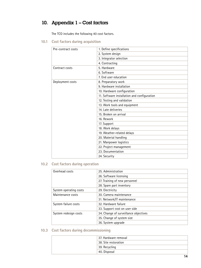# 10. Appendix 1 – Cost factors

The TCO includes the following 40 cost factors.

**10.1 Cost factors during acquisition**

| Pre-contract costs | 1. Define specifications                    |
|--------------------|---------------------------------------------|
|                    | 2. System design                            |
|                    | 3. Integrator selection                     |
|                    | 4. Contracting                              |
| Contract costs     | 5. Hardware                                 |
|                    | 6. Software                                 |
|                    | 7. End user education                       |
| Deployment costs   | 8. Preparatory work                         |
|                    | 9. Hardware installation                    |
|                    | 10. Hardware configuration                  |
|                    | 11. Software installation and configuration |
|                    | 12. Testing and validation                  |
|                    | 13. Work tools and equipment                |
|                    | 14. Late deliveries                         |
|                    | 15. Broken on arrival                       |
|                    | 16. Rework                                  |
|                    | 17. Support                                 |
|                    | 18. Work delays                             |
|                    | 19. Weather-related delays                  |
|                    | 20. Material handling                       |
|                    | 21. Manpower logistics                      |
|                    | 22. Project management                      |
|                    | 23. Documentation                           |
|                    | 24. Security                                |

# **10.2 Cost factors during operation**

| Overhead costs         | 25. Administration                    |
|------------------------|---------------------------------------|
|                        | 26. Software licensing                |
|                        | 27. Training of new personnel         |
|                        | 28. Spare part inventory              |
| System operating costs | 29. Electricity                       |
| Maintenance costs      | 30. Camera maintenance                |
|                        | 31. Network/IT maintenance            |
| System failure costs   | 32. Hardware failure                  |
|                        | 33. Support cost on user side         |
| System redesign costs  | 34. Change of surveillance objectives |
|                        | 35. Change of system size             |
|                        | 36. System upgrade                    |

### **10.3 Cost factors during decommissioning**

| 37. Hardware removal            |
|---------------------------------|
| $^\dagger$ 38. Site restoration |
| 39. Recycling                   |
| 40. Disposal                    |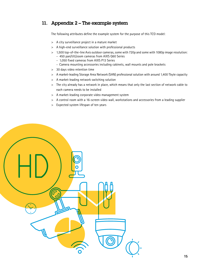# 11. Appendix 2 – The example system

The following attributes define the example system for the purpose of this TCO model:

- > A city surveillance project in a mature market
- > A high-end surveillance solution with professional products
- > 1,500 top-of-the-line Axis outdoor cameras, some with 720p and some with 1080p image resolution:
	- 450 pan/tilt/zoom cameras from AXIS Q60 Series
	- 1,050 fixed cameras from AXIS P13 Series
	- Camera mounting accessories including cabinets, wall mounts and pole brackets
- > 30 days video retention time
- > A market-leading Storage Area Network (SAN) professional solution with around 1,400 Tbyte capacity
- > A market-leading network switching solution
- > The city already has a network in place, which means that only the last section of network cable to each camera needs to be installed
- > A market-leading corporate video management system
- > A control room with a 16-screen video wall, workstations and accessories from a leading supplier
- > Expected system lifespan of ten years